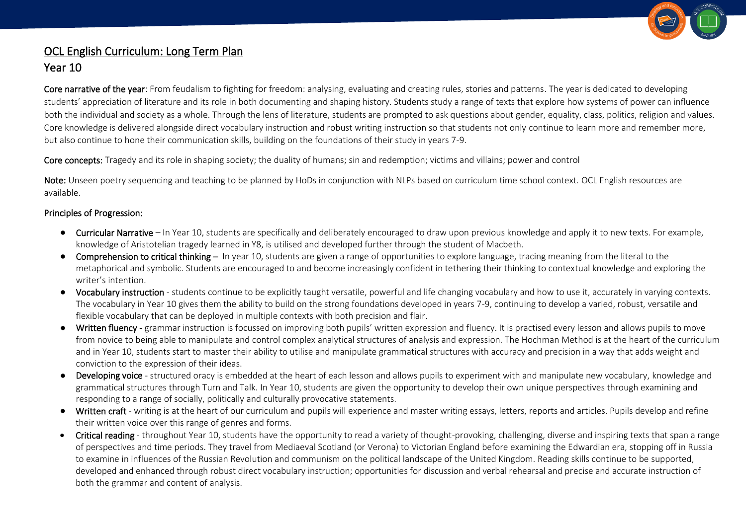

## OCL English Curriculum: Long Term Plan

## Year 10

Core narrative of the year: From feudalism to fighting for freedom: analysing, evaluating and creating rules, stories and patterns. The year is dedicated to developing students' appreciation of literature and its role in both documenting and shaping history. Students study a range of texts that explore how systems of power can influence both the individual and society as a whole. Through the lens of literature, students are prompted to ask questions about gender, equality, class, politics, religion and values. Core knowledge is delivered alongside direct vocabulary instruction and robust writing instruction so that students not only continue to learn more and remember more, but also continue to hone their communication skills, building on the foundations of their study in years 7-9.

Core concepts: Tragedy and its role in shaping society; the duality of humans; sin and redemption; victims and villains; power and control

Note: Unseen poetry sequencing and teaching to be planned by HoDs in conjunction with NLPs based on curriculum time school context. OCL English resources are available.

## Principles of Progression:

- Curricular Narrative In Year 10, students are specifically and deliberately encouraged to draw upon previous knowledge and apply it to new texts. For example, knowledge of Aristotelian tragedy learned in Y8, is utilised and developed further through the student of Macbeth.
- Comprehension to critical thinking In year 10, students are given a range of opportunities to explore language, tracing meaning from the literal to the metaphorical and symbolic. Students are encouraged to and become increasingly confident in tethering their thinking to contextual knowledge and exploring the writer's intention.
- Vocabulary instruction students continue to be explicitly taught versatile, powerful and life changing vocabulary and how to use it, accurately in varying contexts. The vocabulary in Year 10 gives them the ability to build on the strong foundations developed in years 7-9, continuing to develop a varied, robust, versatile and flexible vocabulary that can be deployed in multiple contexts with both precision and flair.
- Written fluency grammar instruction is focussed on improving both pupils' written expression and fluency. It is practised every lesson and allows pupils to move from novice to being able to manipulate and control complex analytical structures of analysis and expression. The Hochman Method is at the heart of the curriculum and in Year 10, students start to master their ability to utilise and manipulate grammatical structures with accuracy and precision in a way that adds weight and conviction to the expression of their ideas.
- Developing voice structured oracy is embedded at the heart of each lesson and allows pupils to experiment with and manipulate new vocabulary, knowledge and grammatical structures through Turn and Talk. In Year 10, students are given the opportunity to develop their own unique perspectives through examining and responding to a range of socially, politically and culturally provocative statements.
- Written craft writing is at the heart of our curriculum and pupils will experience and master writing essays, letters, reports and articles. Pupils develop and refine their written voice over this range of genres and forms.
- Critical reading throughout Year 10, students have the opportunity to read a variety of thought-provoking, challenging, diverse and inspiring texts that span a range of perspectives and time periods. They travel from Mediaeval Scotland (or Verona) to Victorian England before examining the Edwardian era, stopping off in Russia to examine in influences of the Russian Revolution and communism on the political landscape of the United Kingdom. Reading skills continue to be supported, developed and enhanced through robust direct vocabulary instruction; opportunities for discussion and verbal rehearsal and precise and accurate instruction of both the grammar and content of analysis.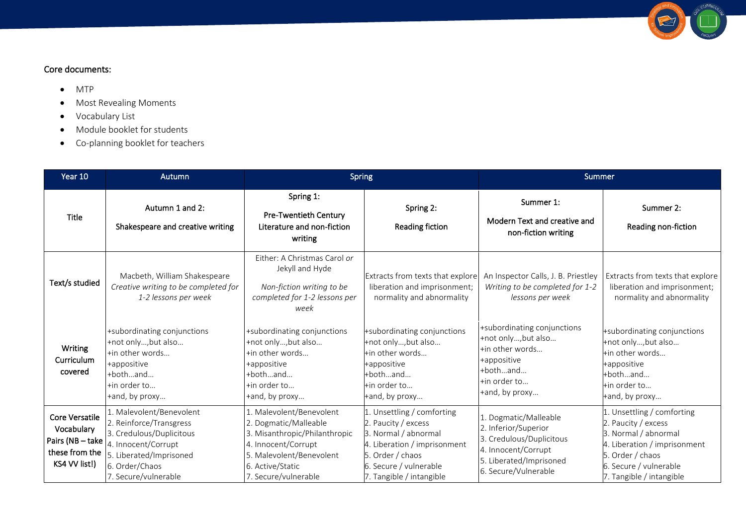

## Core documents:

- MTP
- Most Revealing Moments
- Vocabulary List
- Module booklet for students
- Co-planning booklet for teachers

| Year 10                                                                           | Autumn                                                                                                                                                                      | <b>Spring</b>                                                                                                                                                                     |                                                                                                                                                                                 | Summer                                                                                                                                              |                                                                                                                                                                                     |
|-----------------------------------------------------------------------------------|-----------------------------------------------------------------------------------------------------------------------------------------------------------------------------|-----------------------------------------------------------------------------------------------------------------------------------------------------------------------------------|---------------------------------------------------------------------------------------------------------------------------------------------------------------------------------|-----------------------------------------------------------------------------------------------------------------------------------------------------|-------------------------------------------------------------------------------------------------------------------------------------------------------------------------------------|
| <b>Title</b>                                                                      | Autumn 1 and 2:<br>Shakespeare and creative writing                                                                                                                         | Spring 1:<br>Pre-Twentieth Century<br>Literature and non-fiction<br>writing                                                                                                       | Spring 2:<br>Reading fiction                                                                                                                                                    | Summer 1:<br>Modern Text and creative and<br>non-fiction writing                                                                                    | Summer 2:<br>Reading non-fiction                                                                                                                                                    |
| Text/s studied                                                                    | Macbeth, William Shakespeare<br>Creative writing to be completed for<br>1-2 lessons per week                                                                                | Either: A Christmas Carol or<br>Jekyll and Hyde<br>Non-fiction writing to be<br>completed for 1-2 lessons per<br>week                                                             | Extracts from texts that explore<br>liberation and imprisonment;<br>normality and abnormality                                                                                   | An Inspector Calls, J. B. Priestley<br>Writing to be completed for 1-2<br>lessons per week                                                          | Extracts from texts that explore<br>liberation and imprisonment;<br>normality and abnormality                                                                                       |
| Writing<br>Curriculum<br>covered                                                  | +subordinating conjunctions<br>+not only, but also<br>+in other words<br>+appositive<br>+bothand<br>+in order to<br>+and, by proxy                                          | +subordinating conjunctions<br>+not only, but also<br>+in other words<br>+appositive<br>+bothand<br>+in order to<br>+and, by proxy                                                | +subordinating conjunctions<br>+not only, but also<br>+in other words<br>+appositive<br>+bothand<br>+in order to<br>+and, by proxy                                              | +subordinating conjunctions<br>+not only, but also<br>+in other words<br>+appositive<br>+bothand<br>+in order to<br>+and, by proxy                  | +subordinating conjunctions<br>+not only, but also<br>tin other words<br>+appositive<br>+bothand<br>+in order to<br>+and, by proxy                                                  |
| Core Versatile<br>Vocabulary<br>Pairs (NB-take<br>these from the<br>KS4 VV list!) | 1. Malevolent/Benevolent<br>2. Reinforce/Transgress<br>3. Credulous/Duplicitous<br>4. Innocent/Corrupt<br>5. Liberated/Imprisoned<br>6. Order/Chaos<br>7. Secure/vulnerable | 1. Malevolent/Benevolent<br>2. Dogmatic/Malleable<br>3. Misanthropic/Philanthropic<br>4. Innocent/Corrupt<br>5. Malevolent/Benevolent<br>6. Active/Static<br>7. Secure/vulnerable | . Unsettling / comforting<br>2. Paucity / excess<br>3. Normal / abnormal<br>4. Liberation / imprisonment<br>Order / chaos<br>6. Secure / vulnerable<br>7. Tangible / intangible | 1. Dogmatic/Malleable<br>2. Inferior/Superior<br>3. Credulous/Duplicitous<br>4. Innocent/Corrupt<br>5. Liberated/Imprisoned<br>6. Secure/Vulnerable | 1. Unsettling / comforting<br>2. Paucity / excess<br>3. Normal / abnormal<br>4. Liberation / imprisonment<br>5. Order / chaos<br>6. Secure / vulnerable<br>7. Tangible / intangible |